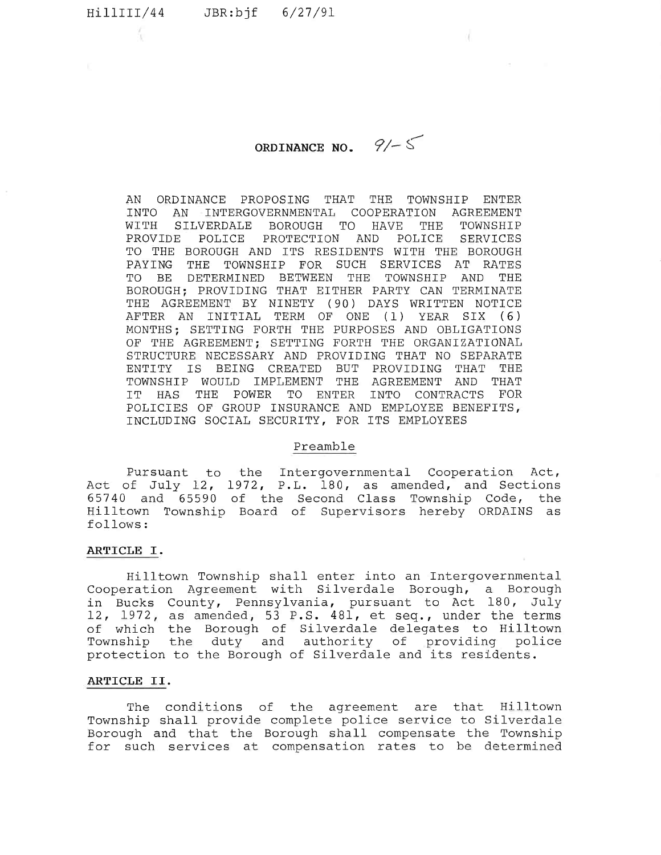# ORDINANCE NO.  $9/- 5$

AN ORDINANCE PROPOSING THAT THE TOWNSHIP ENTER INTO AN INTERGOVERNMENTAL COOPERATION AGREEMENT WITH SILVERDALE BOROUGH TO HAVE THE TOWNSHIP PROVIDE POLICE PROTECTION AND POLICE SERVICES TO THE BOROUGH AND ITS RESIDENTS WITH THE BOROUGH PAYING THE TOWNSHIP FOR SUCH SERVICES AT RATES TO BE DETERMINED BETWEEN THE TOWNSHIP AND THE BOROUGH; PROVIDING THAT EITHER PARTY CAN TERMINATE THE AGREEMENT BY NINETY (90) DAYS WRITTEN NOTICE AFTER AN INITIAL TERM OF ONE (l) YEAR SIX (6) MONTHS; SETTING FORTH THE PURPOSES AND OBLIGATIONS OF THE AGREEMENT; SETTING FORTH THE ORGANIZATIONAL STRUCTURE NECESSARY AND PROVIDING THAT NO SEPARATE ENTITY IS BEING CREATED BUT PROVIDING THAT THE TOWNSHIP WOULD IMPLEMENT THE AGREEMENT AND THAT IT HAS THE POWER TO ENTER INTO CONTRACTS FOR POLICIES OF GROUP INSURANCE AND EMPLOYEE BENEFITS, INCLUDING SOCIAL SECURITY, FOR ITS EMPLOYEES

## Preamble

Pursuant to the Intergovernmental Cooperation Act, Act of July 12, 1972, P.L. 180, as amended, and Sections 65740 and 65590 of the Second Class Township Code, the Hilltown Township Board of Supervisors hereby ORDAINS as follows :

## ARTICLE I.

Hilltown Township shall enter into an Intergovernmental Cooperation Agreement with Silverdale Borough, a Borough in Bucks County, Pennsylvania, pursuant to Act 180, July 12, 1972, as amended, 53 p.s. 481, et seq., under the terms of which the Borough of Silverdale delegates to Hilltown Township the duty and authority of providing police protection to the Borough of Silverdale and its residents.

## ARTICLE II.

The conditions of the agreement are that Hilltown Township shall provide complete police service to Silverdale Borough and that the Borough shall compensate the Township for such services at compensation rates to be determined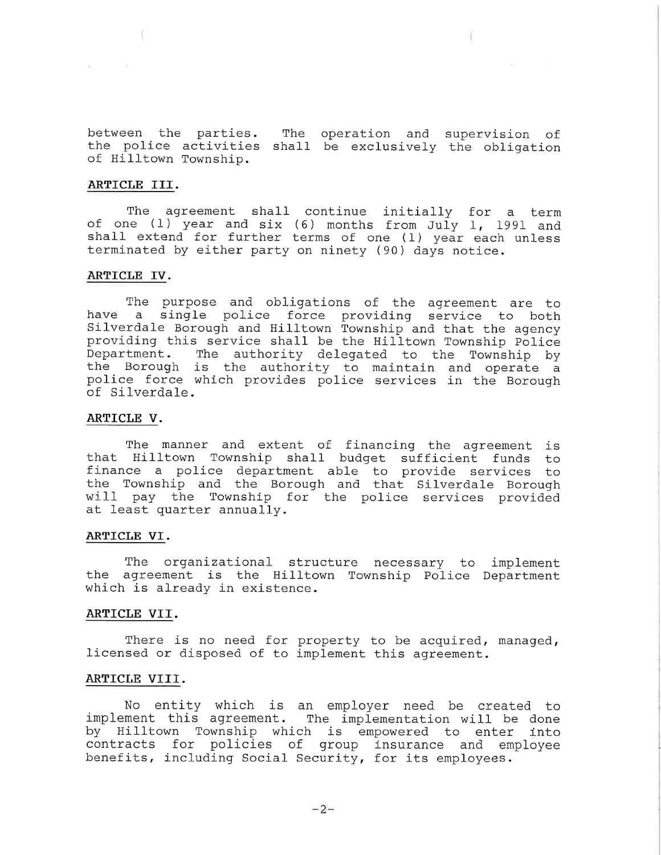between the parties. The operation and supervision of the police activities shall be exclusively the obligation of Hilltown Township.

#### ARTICLE III.

The agreement shall continue initially for a term of one (1) year and six (6) months from July 1, 1991 and shall extend for further terms of one (l) year each unless terminated by either party on ninety (90) days notice.

### ARTICLE IV.

The purpose and obligations of the agreement are to have a single police force providing service to bo Silverdale Borough and Hilltown Township and that the agen this service shall be the Hilltown Township Pol The authority delegated to the Township b the Borough is the authority to maintain and operate  $\varepsilon$ police force which provides police services in the Boro prov. pepart of Silverdale.

## ARTICLE V,

The manner and extent of financing the agreement is that Hilltown Township shall budget sufficient funds to finance a police department able to provide services to the Township and the Borough and that Silverdale Borough will pay the Township for the police services provided at least quarter annually.

#### ARTICLE VI .

The organizational structure necessary to imple the agreement is the Hilltown Township Police Department which is already in existence.

### ARTICLE VII.

There is no need for property to be acquired, managed, licensed or disposed of to implement this agreement.

#### ARTICLE VIII.

No entity which is an employer need be created to implement this agreement. The implementation will be dor by Hilltown Township which is empowered to enter in contracts for policies of group insurance and emplo benefits, including Social Security, for its employ